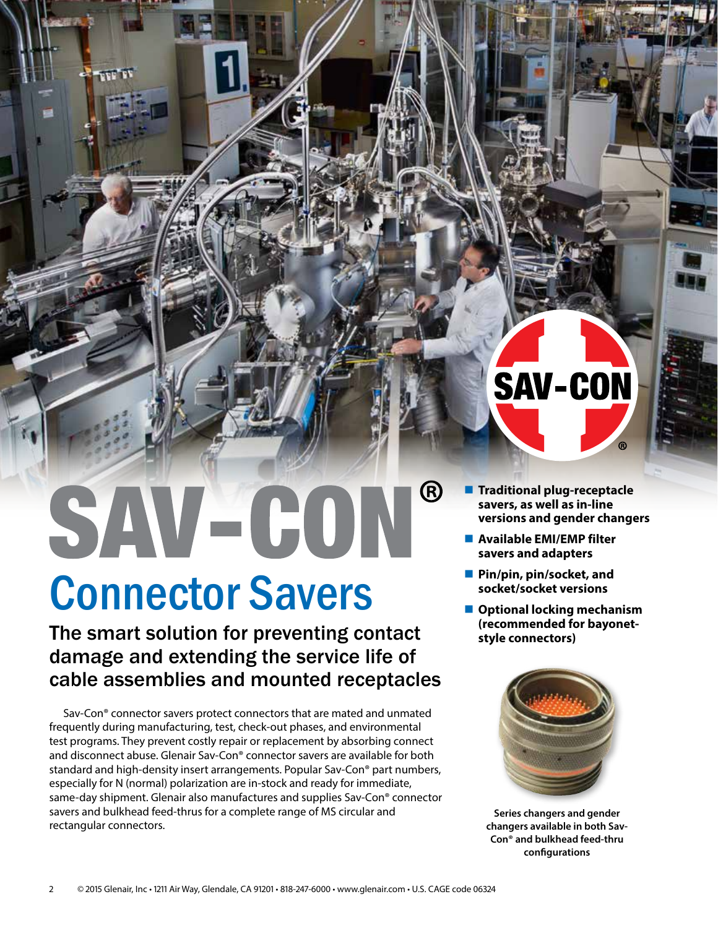## $\bigcirc$ SAV-CON

### Connector Savers

**SERIES 202** 

The smart solution for preventing contact damage and extending the service life of cable assemblies and mounted receptacles

Sav-Con® connector savers protect connectors that are mated and unmated frequently during manufacturing, test, check-out phases, and environmental test programs. They prevent costly repair or replacement by absorbing connect and disconnect abuse. Glenair Sav-Con® connector savers are available for both standard and high-density insert arrangements. Popular Sav-Con® part numbers, especially for N (normal) polarization are in-stock and ready for immediate, same-day shipment. Glenair also manufactures and supplies Sav-Con® connector savers and bulkhead feed-thrus for a complete range of MS circular and rectangular connectors.

# SAV-CON

- **Traditional plug-receptacle savers, as well as in-line versions and gender changers**
- **Available EMI/EMP filter savers and adapters**
- **Pin/pin, pin/socket, and socket/socket versions**
- Optional locking mechanism **(recommended for bayonetstyle connectors)**



**Series changers and gender changers available in both Sav-Con® and bulkhead feed-thru configurations**